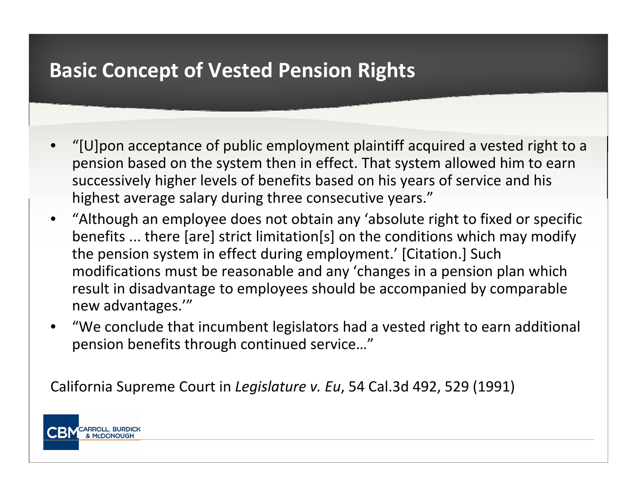## **Basic Concept of Vested Pension Rights**

- •" $[U]$  pon acceptance of public employment plaintiff acquired a vested right to a pension based on the system then in effect. That system allowed him to earn successively higher levels of benefits based on his years of service and his highest average salary during three consecutive years."
- •• "Although an employee does not obtain any 'absolute right to fixed or specific benefits ... there [are] strict limitation[s] on the conditions which may modify the pension system in effect during employment.' [Citation.] Such modifications must be reasonable and any 'changes in <sup>a</sup> pension plan which result in disadvantage to employees should be accompanied by comparable new advantages.'"
- • "We conclude that incumbent legislators had <sup>a</sup> vested right to earn additional pension benefits through continued service..."

California Supreme Court in *Legislature v. Eu*, 54 Cal.3d 492, 529 (1991)